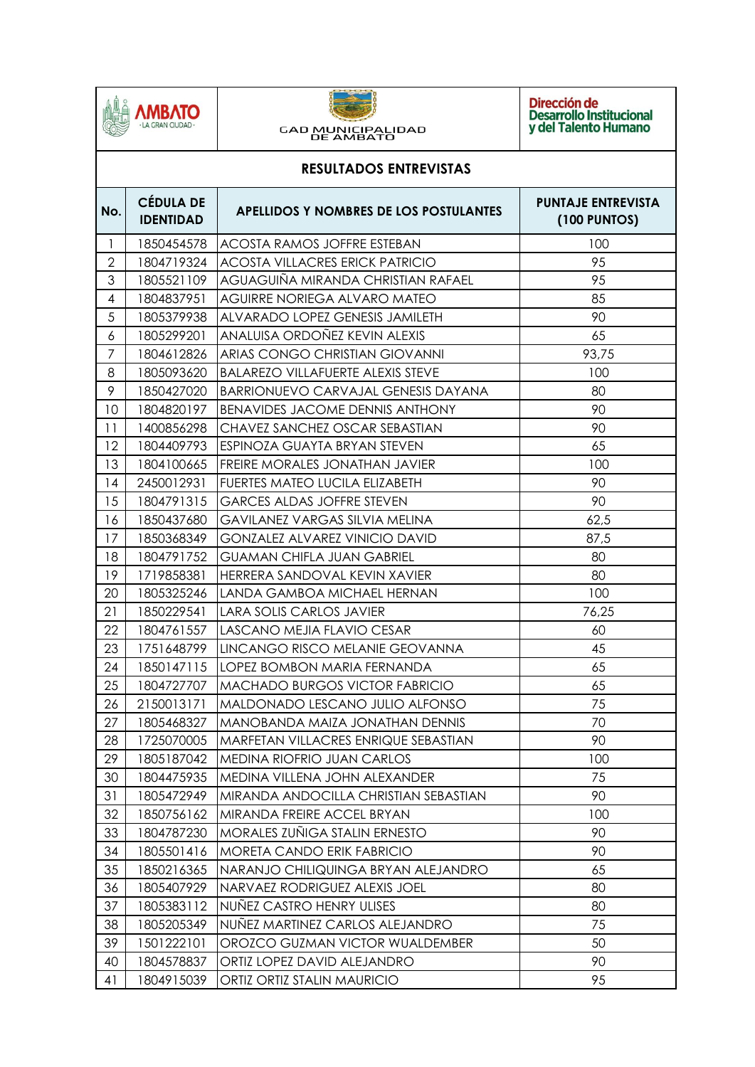



Dirección de<br>Desarrollo Institucional<br>y del Talento Humano

| <b>RESULTADOS ENTREVISTAS</b> |                                      |                                            |                                                  |  |  |
|-------------------------------|--------------------------------------|--------------------------------------------|--------------------------------------------------|--|--|
| No.                           | <b>CÉDULA DE</b><br><b>IDENTIDAD</b> | APELLIDOS Y NOMBRES DE LOS POSTULANTES     | <b>PUNTAJE ENTREVISTA</b><br><b>(100 PUNTOS)</b> |  |  |
| 1                             | 1850454578                           | <b>ACOSTA RAMOS JOFFRE ESTEBAN</b>         | 100                                              |  |  |
| $\mathbf{2}$                  | 1804719324                           | <b>ACOSTA VILLACRES ERICK PATRICIO</b>     | 95                                               |  |  |
| 3                             | 1805521109                           | AGUAGUIÑA MIRANDA CHRISTIAN RAFAEL         | 95                                               |  |  |
| 4                             | 1804837951                           | AGUIRRE NORIEGA ALVARO MATEO               | 85                                               |  |  |
| 5                             | 1805379938                           | ALVARADO LOPEZ GENESIS JAMILETH            | 90                                               |  |  |
| 6                             | 1805299201                           | ANALUISA ORDOÑEZ KEVIN ALEXIS              | 65                                               |  |  |
| $\overline{7}$                | 1804612826                           | ARIAS CONGO CHRISTIAN GIOVANNI             | 93,75                                            |  |  |
| 8                             | 1805093620                           | <b>BALAREZO VILLAFUERTE ALEXIS STEVE</b>   | 100                                              |  |  |
| 9                             | 1850427020                           | <b>BARRIONUEVO CARVAJAL GENESIS DAYANA</b> | 80                                               |  |  |
| 10                            | 1804820197                           | <b>BENAVIDES JACOME DENNIS ANTHONY</b>     | 90                                               |  |  |
| 11                            | 1400856298                           | CHAVEZ SANCHEZ OSCAR SEBASTIAN             | 90                                               |  |  |
| 12                            | 1804409793                           | ESPINOZA GUAYTA BRYAN STEVEN               | 65                                               |  |  |
| 13                            | 1804100665                           | FREIRE MORALES JONATHAN JAVIER             | 100                                              |  |  |
| 14                            | 2450012931                           | FUERTES MATEO LUCILA ELIZABETH             | 90                                               |  |  |
| 15                            | 1804791315                           | <b>GARCES ALDAS JOFFRE STEVEN</b>          | 90                                               |  |  |
| 16                            | 1850437680                           | <b>GAVILANEZ VARGAS SILVIA MELINA</b>      | 62,5                                             |  |  |
| 17                            | 1850368349                           | <b>GONZALEZ ALVAREZ VINICIO DAVID</b>      | 87,5                                             |  |  |
| 18                            | 1804791752                           | <b>GUAMAN CHIFLA JUAN GABRIEL</b>          | 80                                               |  |  |
| 19                            | 1719858381                           | HERRERA SANDOVAL KEVIN XAVIER              | 80                                               |  |  |
| 20                            | 1805325246                           | LANDA GAMBOA MICHAEL HERNAN                | 100                                              |  |  |
| 21                            | 1850229541                           | <b>LARA SOLIS CARLOS JAVIER</b>            | 76,25                                            |  |  |
| 22                            | 1804761557                           | LASCANO MEJIA FLAVIO CESAR                 | 60                                               |  |  |
| 23                            | 1751648799                           | LINCANGO RISCO MELANIE GEOVANNA            | 45                                               |  |  |
| 24                            | 1850147115                           | LOPEZ BOMBON MARIA FERNANDA                | 65                                               |  |  |
| 25                            | 1804727707                           | <b>MACHADO BURGOS VICTOR FABRICIO</b>      | 65                                               |  |  |
| 26                            | 2150013171                           | MALDONADO LESCANO JULIO ALFONSO            | 75                                               |  |  |
| 27                            | 1805468327                           | MANOBANDA MAIZA JONATHAN DENNIS            | 70                                               |  |  |
| 28                            | 1725070005                           | MARFETAN VILLACRES ENRIQUE SEBASTIAN       | 90                                               |  |  |
| 29                            | 1805187042                           | <b>MEDINA RIOFRIO JUAN CARLOS</b>          | 100                                              |  |  |
| 30                            | 1804475935                           | MEDINA VILLENA JOHN ALEXANDER              | 75                                               |  |  |
| 31                            | 1805472949                           | MIRANDA ANDOCILLA CHRISTIAN SEBASTIAN      | 90                                               |  |  |
| 32                            | 1850756162                           | MIRANDA FREIRE ACCEL BRYAN                 | 100                                              |  |  |
| 33                            | 1804787230                           | MORALES ZUÑIGA STALIN ERNESTO              | 90                                               |  |  |
| 34                            | 1805501416                           | <b>MORETA CANDO ERIK FABRICIO</b>          | 90                                               |  |  |
| 35                            | 1850216365                           | NARANJO CHILIQUINGA BRYAN ALEJANDRO        | 65                                               |  |  |
| 36                            | 1805407929                           | NARVAEZ RODRIGUEZ ALEXIS JOEL              | 80                                               |  |  |
| 37                            | 1805383112                           | NUÑEZ CASTRO HENRY ULISES                  | 80                                               |  |  |
| 38                            | 1805205349                           | NUÑEZ MARTINEZ CARLOS ALEJANDRO            | 75                                               |  |  |
| 39                            | 1501222101                           | OROZCO GUZMAN VICTOR WUALDEMBER            | 50                                               |  |  |
| 40                            | 1804578837                           | ORTIZ LOPEZ DAVID ALEJANDRO                | 90                                               |  |  |
| 41                            | 1804915039                           | ORTIZ ORTIZ STALIN MAURICIO                | 95                                               |  |  |